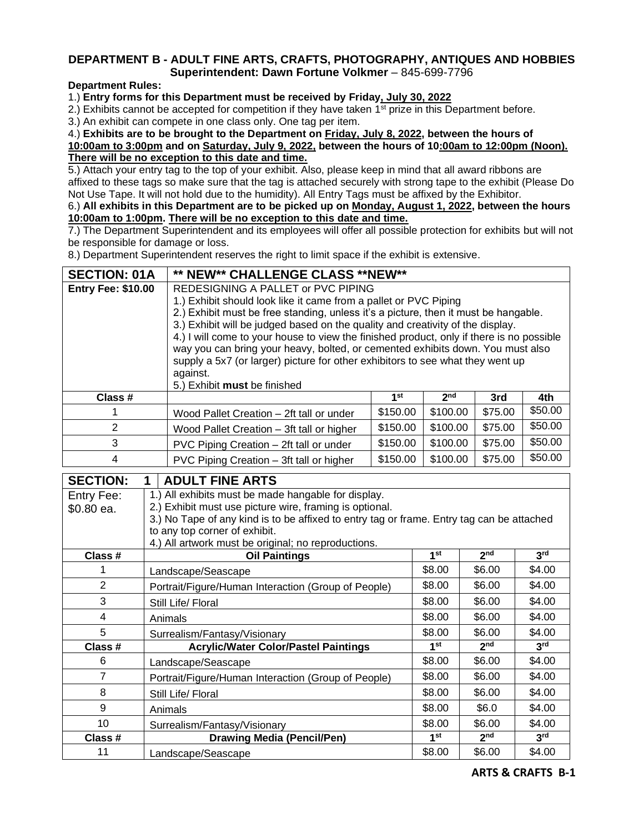## **DEPARTMENT B - ADULT FINE ARTS, CRAFTS, PHOTOGRAPHY, ANTIQUES AND HOBBIES Superintendent: Dawn Fortune Volkmer** – 845-699-7796

## **Department Rules:**

1.) **Entry forms for this Department must be received by Friday, July 30, 2022**

2.) Exhibits cannot be accepted for competition if they have taken  $1<sup>st</sup>$  prize in this Department before.

3.) An exhibit can compete in one class only. One tag per item.

4.) **Exhibits are to be brought to the Department on Friday, July 8, 2022, between the hours of**

**10:00am to 3:00pm and on Saturday, July 9, 2022, between the hours of 10:00am to 12:00pm (Noon). There will be no exception to this date and time.**

5.) Attach your entry tag to the top of your exhibit. Also, please keep in mind that all award ribbons are affixed to these tags so make sure that the tag is attached securely with strong tape to the exhibit (Please Do Not Use Tape. It will not hold due to the humidity). All Entry Tags must be affixed by the Exhibitor.

6.) **All exhibits in this Department are to be picked up on Monday, August 1, 2022, between the hours 10:00am to 1:00pm. There will be no exception to this date and time.**

7.) The Department Superintendent and its employees will offer all possible protection for exhibits but will not be responsible for damage or loss.

8.) Department Superintendent reserves the right to limit space if the exhibit is extensive.

| <b>SECTION: 01A</b>                            |  | ** NEW** CHALLENGE CLASS **NEW**                                                                                                                                      |                 |                 |                 |                 |  |
|------------------------------------------------|--|-----------------------------------------------------------------------------------------------------------------------------------------------------------------------|-----------------|-----------------|-----------------|-----------------|--|
| <b>Entry Fee: \$10.00</b>                      |  | REDESIGNING A PALLET or PVC PIPING                                                                                                                                    |                 |                 |                 |                 |  |
|                                                |  | 1.) Exhibit should look like it came from a pallet or PVC Piping                                                                                                      |                 |                 |                 |                 |  |
|                                                |  | 2.) Exhibit must be free standing, unless it's a picture, then it must be hangable.<br>3.) Exhibit will be judged based on the quality and creativity of the display. |                 |                 |                 |                 |  |
|                                                |  | 4.) I will come to your house to view the finished product, only if there is no possible                                                                              |                 |                 |                 |                 |  |
|                                                |  | way you can bring your heavy, bolted, or cemented exhibits down. You must also                                                                                        |                 |                 |                 |                 |  |
|                                                |  | supply a 5x7 (or larger) picture for other exhibitors to see what they went up                                                                                        |                 |                 |                 |                 |  |
|                                                |  | against.                                                                                                                                                              |                 |                 |                 |                 |  |
| Class #                                        |  | 5.) Exhibit must be finished                                                                                                                                          | 1 <sup>st</sup> | 2 <sub>nd</sub> | 3rd             | 4th             |  |
| 1                                              |  | Wood Pallet Creation - 2ft tall or under                                                                                                                              | \$150.00        | \$100.00        | \$75.00         | \$50.00         |  |
| $\overline{2}$                                 |  | Wood Pallet Creation - 3ft tall or higher                                                                                                                             | \$150.00        | \$100.00        | \$75.00         | \$50.00         |  |
| 3                                              |  | PVC Piping Creation - 2ft tall or under                                                                                                                               | \$150.00        | \$100.00        | \$75.00         | \$50.00         |  |
| 4                                              |  | PVC Piping Creation - 3ft tall or higher                                                                                                                              | \$150.00        | \$100.00        | \$75.00         | \$50.00         |  |
| <b>SECTION:</b><br><b>ADULT FINE ARTS</b><br>1 |  |                                                                                                                                                                       |                 |                 |                 |                 |  |
| Entry Fee:                                     |  | 1.) All exhibits must be made hangable for display.                                                                                                                   |                 |                 |                 |                 |  |
| \$0.80 ea.                                     |  | 2.) Exhibit must use picture wire, framing is optional.                                                                                                               |                 |                 |                 |                 |  |
|                                                |  | 3.) No Tape of any kind is to be affixed to entry tag or frame. Entry tag can be attached                                                                             |                 |                 |                 |                 |  |
|                                                |  | to any top corner of exhibit.<br>4.) All artwork must be original; no reproductions.                                                                                  |                 |                 |                 |                 |  |
| Class #                                        |  | Oil Paintings                                                                                                                                                         |                 | 1 <sup>st</sup> | 2 <sub>nd</sub> | 3 <sup>rd</sup> |  |
| 1                                              |  | Landscape/Seascape                                                                                                                                                    |                 | \$8.00          | \$6.00          | \$4.00          |  |
| $\overline{2}$                                 |  | Portrait/Figure/Human Interaction (Group of People)                                                                                                                   |                 | \$8.00          | \$6.00          | \$4.00          |  |
| 3                                              |  | Still Life/ Floral                                                                                                                                                    |                 | \$8.00          | \$6.00          | \$4.00          |  |
| $\overline{\mathcal{A}}$                       |  | Animals                                                                                                                                                               |                 | \$8.00          | \$6.00          | \$4.00          |  |
| 5                                              |  | Surrealism/Fantasy/Visionary                                                                                                                                          |                 | \$8.00          | \$6.00          | \$4.00          |  |
| Class #                                        |  | <b>Acrylic/Water Color/Pastel Paintings</b>                                                                                                                           |                 | 1 <sup>st</sup> | 2 <sub>nd</sub> | 3 <sup>rd</sup> |  |
| 6                                              |  | Landscape/Seascape                                                                                                                                                    |                 | \$8.00          | \$6.00          | \$4.00          |  |
| $\overline{7}$                                 |  | Portrait/Figure/Human Interaction (Group of People)                                                                                                                   |                 | \$8.00          | \$6.00          | \$4.00          |  |
| 8                                              |  | Still Life/ Floral                                                                                                                                                    |                 | \$8.00          | \$6.00          | \$4.00          |  |
| $\mathsf g$                                    |  | Animals                                                                                                                                                               |                 | \$8.00          | \$6.0           | \$4.00          |  |
| 10                                             |  | Surrealism/Fantasy/Visionary                                                                                                                                          |                 | \$8.00          | \$6.00          | \$4.00          |  |
| Class #                                        |  | <b>Drawing Media (Pencil/Pen)</b>                                                                                                                                     |                 | 1 <sup>st</sup> | 2 <sub>nd</sub> | 3 <sup>rd</sup> |  |
| 11                                             |  | Landscape/Seascape                                                                                                                                                    |                 | \$8.00          | \$6.00          | \$4.00          |  |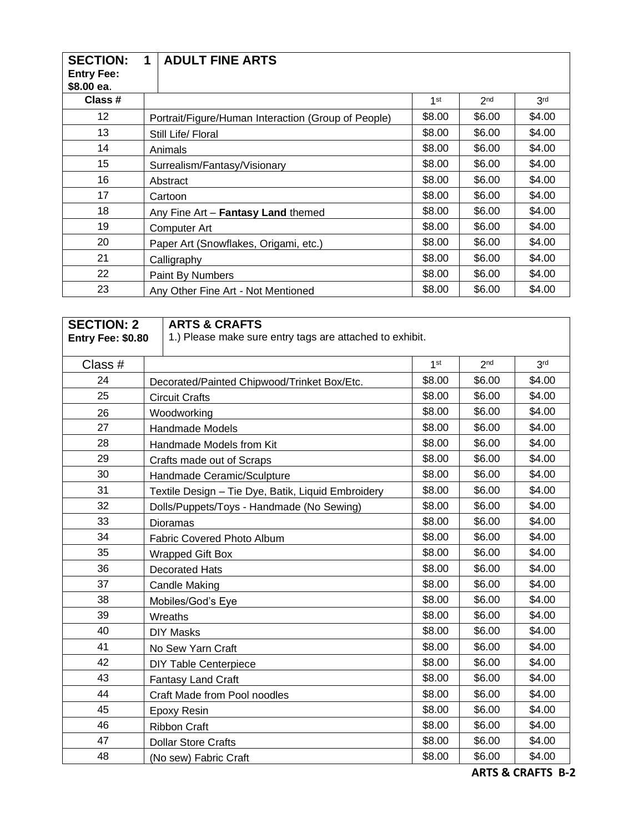| <b>SECTION:</b><br><b>Entry Fee:</b><br>\$8.00 ea. | 1 | <b>ADULT FINE ARTS</b>                                     |        |                 |                 |
|----------------------------------------------------|---|------------------------------------------------------------|--------|-----------------|-----------------|
| Class #                                            |   |                                                            | 1st    | 2 <sub>nd</sub> | 3 <sup>rd</sup> |
| 12                                                 |   | Portrait/Figure/Human Interaction (Group of People)        | \$8.00 | \$6.00          | \$4.00          |
| 13                                                 |   | \$4.00<br>\$8.00<br>\$6.00<br>Still Life/ Floral           |        |                 |                 |
| 14                                                 |   | \$8.00<br>\$6.00<br>\$4.00<br>Animals                      |        |                 |                 |
| 15                                                 |   | \$8.00<br>\$6.00<br>\$4.00<br>Surrealism/Fantasy/Visionary |        |                 |                 |
| 16                                                 |   | \$8.00<br>\$6.00<br>\$4.00<br>Abstract                     |        |                 |                 |
| 17                                                 |   | Cartoon                                                    | \$8.00 | \$6.00          | \$4.00          |
| 18                                                 |   | Any Fine Art - Fantasy Land themed                         | \$8.00 | \$6.00          | \$4.00          |
| 19                                                 |   | Computer Art                                               | \$8.00 | \$6.00          | \$4.00          |
| 20                                                 |   | Paper Art (Snowflakes, Origami, etc.)                      | \$8.00 | \$6.00          | \$4.00          |
| 21                                                 |   | Calligraphy                                                | \$8.00 | \$6.00          | \$4.00          |
| 22                                                 |   | <b>Paint By Numbers</b>                                    | \$8.00 | \$6.00          | \$4.00          |
| 23                                                 |   | Any Other Fine Art - Not Mentioned                         | \$8.00 | \$6.00          | \$4.00          |

| <b>SECTION: 2</b> |                                             | <b>ARTS &amp; CRAFTS</b>                                 |                 |                 |                 |
|-------------------|---------------------------------------------|----------------------------------------------------------|-----------------|-----------------|-----------------|
| Entry Fee: \$0.80 |                                             | 1.) Please make sure entry tags are attached to exhibit. |                 |                 |                 |
| Class #           |                                             |                                                          | 1 <sup>st</sup> | 2 <sub>nd</sub> | 3 <sup>rd</sup> |
| 24                | Decorated/Painted Chipwood/Trinket Box/Etc. |                                                          | \$8.00          | \$6.00          | \$4.00          |
| 25                |                                             | <b>Circuit Crafts</b>                                    | \$8.00          | \$6.00          | \$4.00          |
| 26                |                                             | Woodworking                                              | \$8.00          | \$6.00          | \$4.00          |
| 27                |                                             | Handmade Models                                          | \$8.00          | \$6.00          | \$4.00          |
| 28                |                                             | Handmade Models from Kit                                 | \$8.00          | \$6.00          | \$4.00          |
| 29                |                                             | Crafts made out of Scraps                                | \$8.00          | \$6.00          | \$4.00          |
| 30                |                                             | Handmade Ceramic/Sculpture                               | \$8.00          | \$6.00          | \$4.00          |
| 31                |                                             | Textile Design - Tie Dye, Batik, Liquid Embroidery       | \$8.00          | \$6.00          | \$4.00          |
| 32                |                                             | Dolls/Puppets/Toys - Handmade (No Sewing)                | \$8.00          | \$6.00          | \$4.00          |
| 33                |                                             | Dioramas                                                 |                 | \$6.00          | \$4.00          |
| 34                |                                             | <b>Fabric Covered Photo Album</b>                        | \$8.00          | \$6.00          | \$4.00          |
| 35                |                                             | <b>Wrapped Gift Box</b>                                  |                 | \$6.00          | \$4.00          |
| 36                |                                             | <b>Decorated Hats</b>                                    |                 | \$6.00          | \$4.00          |
| 37                |                                             | <b>Candle Making</b>                                     | \$8.00          | \$6.00          | \$4.00          |
| 38                |                                             | Mobiles/God's Eye                                        |                 | \$6.00          | \$4.00          |
| 39                |                                             | Wreaths                                                  |                 | \$6.00          | \$4.00          |
| 40                |                                             | <b>DIY Masks</b>                                         | \$8.00          | \$6.00          | \$4.00          |
| 41                |                                             | No Sew Yarn Craft                                        | \$8.00          | \$6.00          | \$4.00          |
| 42                |                                             | <b>DIY Table Centerpiece</b>                             | \$8.00          | \$6.00          | \$4.00          |
| 43                |                                             | <b>Fantasy Land Craft</b>                                | \$8.00          | \$6.00          | \$4.00          |
| 44                |                                             | Craft Made from Pool noodles                             | \$8.00          | \$6.00          | \$4.00          |
| 45                |                                             | <b>Epoxy Resin</b>                                       | \$8.00          | \$6.00          | \$4.00          |
| 46                | <b>Ribbon Craft</b>                         |                                                          | \$8.00          | \$6.00          | \$4.00          |
| 47                | <b>Dollar Store Crafts</b>                  |                                                          | \$8.00          | \$6.00          | \$4.00          |
| 48                | (No sew) Fabric Craft                       |                                                          | \$8.00          | \$6.00          | \$4.00          |

**ARTS & CRAFTS B-2**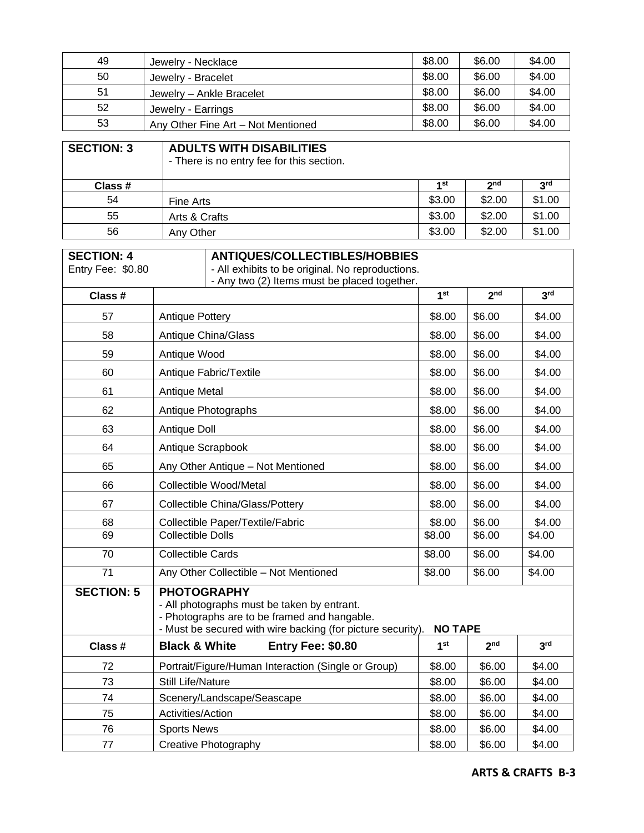| 49 | Jewelry - Necklace                 | \$8.00 | \$6.00 | \$4.00 |
|----|------------------------------------|--------|--------|--------|
| 50 | Jewelry - Bracelet                 | \$8.00 | \$6.00 | \$4.00 |
| 51 | Jewelry - Ankle Bracelet           | \$8.00 | \$6.00 | \$4.00 |
| 52 | Jewelry - Earrings                 | \$8.00 | \$6.00 | \$4.00 |
| 53 | Any Other Fine Art - Not Mentioned | \$8.00 | \$6.00 | \$4.00 |

| <b>SECTION: 3</b> | <b>ADULTS WITH DISABILITIES</b><br>- There is no entry fee for this section. |        |                 |                 |
|-------------------|------------------------------------------------------------------------------|--------|-----------------|-----------------|
| Class #           |                                                                              | 4 st   | 2 <sub>nd</sub> | 3 <sup>rd</sup> |
| 54                | Fine Arts                                                                    | \$3.00 | \$2.00          | \$1.00          |
| 55                | Arts & Crafts                                                                | \$3.00 | \$2.00          | \$1.00          |
| 56                | Any Other                                                                    | \$3.00 | \$2.00          | \$1.00          |

| <b>SECTION: 4</b><br>Entry Fee: \$0.80 | <b>ANTIQUES/COLLECTIBLES/HOBBIES</b><br>- All exhibits to be original. No reproductions.<br>- Any two (2) Items must be placed together.                                                           |                 |                    |                 |  |
|----------------------------------------|----------------------------------------------------------------------------------------------------------------------------------------------------------------------------------------------------|-----------------|--------------------|-----------------|--|
| Class #                                |                                                                                                                                                                                                    | 1 <sup>st</sup> | 2 <sub>nd</sub>    | 3 <sup>rd</sup> |  |
| 57                                     | Antique Pottery                                                                                                                                                                                    | \$8.00          | \$6.00             | \$4.00          |  |
| 58                                     | <b>Antique China/Glass</b>                                                                                                                                                                         | \$8.00          | \$6.00             | \$4.00          |  |
| 59                                     | Antique Wood                                                                                                                                                                                       | \$8.00          | \$6.00             | \$4.00          |  |
| 60                                     | Antique Fabric/Textile                                                                                                                                                                             | \$8.00          | \$6.00             | \$4.00          |  |
| 61                                     | <b>Antique Metal</b>                                                                                                                                                                               | \$8.00          | \$6.00             | \$4.00          |  |
| 62                                     | Antique Photographs                                                                                                                                                                                | \$8.00          | \$6.00             | \$4.00          |  |
| 63                                     | Antique Doll                                                                                                                                                                                       | \$8.00          | \$6.00             | \$4.00          |  |
| 64                                     | Antique Scrapbook                                                                                                                                                                                  | \$8.00          | \$6.00             | \$4.00          |  |
| 65                                     | Any Other Antique - Not Mentioned                                                                                                                                                                  | \$8.00          | \$6.00             | \$4.00          |  |
| 66                                     | <b>Collectible Wood/Metal</b>                                                                                                                                                                      |                 | \$6.00             | \$4.00          |  |
| 67                                     | <b>Collectible China/Glass/Pottery</b>                                                                                                                                                             |                 | \$6.00             | \$4.00          |  |
| 68                                     | Collectible Paper/Textile/Fabric                                                                                                                                                                   | \$8.00          | \$6.00             | \$4.00          |  |
| 69                                     | <b>Collectible Dolls</b>                                                                                                                                                                           | \$8.00          | $\overline{$}6.00$ | \$4.00          |  |
| 70                                     | <b>Collectible Cards</b>                                                                                                                                                                           | \$8.00          | \$6.00             | \$4.00          |  |
| 71                                     | Any Other Collectible - Not Mentioned                                                                                                                                                              | \$8.00          | \$6.00             | \$4.00          |  |
| <b>SECTION: 5</b>                      | <b>PHOTOGRAPHY</b><br>- All photographs must be taken by entrant.<br>- Photographs are to be framed and hangable.<br>- Must be secured with wire backing (for picture security).<br><b>NO TAPE</b> |                 |                    |                 |  |
| Class #                                | <b>Black &amp; White</b><br>Entry Fee: \$0.80                                                                                                                                                      | 1 <sup>st</sup> | 2 <sub>nd</sub>    | 3 <sup>rd</sup> |  |
| 72                                     | Portrait/Figure/Human Interaction (Single or Group)                                                                                                                                                | \$8.00          | \$6.00             | \$4.00          |  |
| 73                                     | <b>Still Life/Nature</b>                                                                                                                                                                           | \$8.00          | \$6.00             | \$4.00          |  |
| 74                                     | Scenery/Landscape/Seascape                                                                                                                                                                         | \$8.00          | \$6.00             | \$4.00          |  |
| 75                                     | Activities/Action                                                                                                                                                                                  | \$8.00          | \$6.00             | \$4.00          |  |
| 76                                     | <b>Sports News</b>                                                                                                                                                                                 | \$8.00          | \$6.00             | \$4.00          |  |
| 77                                     | <b>Creative Photography</b>                                                                                                                                                                        | \$8.00          | \$6.00             | \$4.00          |  |